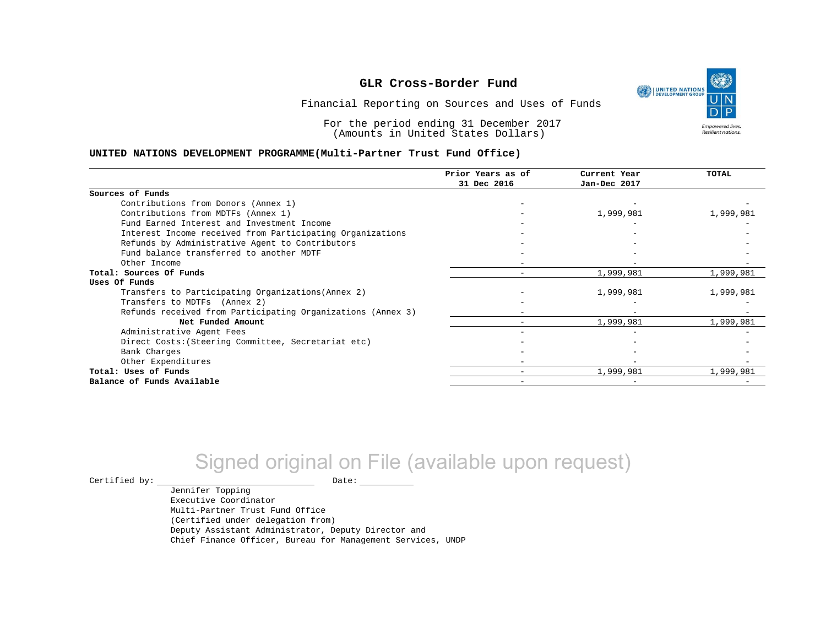١ UNITED NATIONS **Empowered lives** Resilient nations.

Financial Reporting on Sources and Uses of Funds

For the period ending 31 December 2017 (Amounts in United States Dollars)

#### **UNITED NATIONS DEVELOPMENT PROGRAMME(Multi-Partner Trust Fund Office)**

|                                                             | Prior Years as of | Current Year | <b>TOTAL</b> |
|-------------------------------------------------------------|-------------------|--------------|--------------|
|                                                             | 31 Dec 2016       | Jan-Dec 2017 |              |
| Sources of Funds                                            |                   |              |              |
| Contributions from Donors (Annex 1)                         |                   |              |              |
| Contributions from MDTFs (Annex 1)                          |                   | 1,999,981    | 1,999,981    |
| Fund Earned Interest and Investment Income                  |                   |              |              |
| Interest Income received from Participating Organizations   |                   |              |              |
| Refunds by Administrative Agent to Contributors             |                   |              |              |
| Fund balance transferred to another MDTF                    |                   |              |              |
| Other Income                                                |                   |              |              |
| Total: Sources Of Funds                                     |                   | 1,999,981    | 1,999,981    |
| Uses Of Funds                                               |                   |              |              |
| Transfers to Participating Organizations (Annex 2)          |                   | 1,999,981    | 1,999,981    |
| Transfers to MDTFs (Annex 2)                                |                   |              |              |
| Refunds received from Participating Organizations (Annex 3) |                   |              |              |
| Net Funded Amount                                           |                   | 1,999,981    | 1,999,981    |
| Administrative Agent Fees                                   |                   |              |              |
| Direct Costs: (Steering Committee, Secretariat etc)         |                   |              |              |
| Bank Charges                                                |                   |              |              |
| Other Expenditures                                          |                   |              |              |
| Total: Uses of Funds                                        |                   | 1,999,981    | 1,999,981    |
| Balance of Funds Available                                  |                   |              |              |

# Signed original on File (available upon request)

 $\begin{picture}(180,180)(0,0) \put(0,0){\vector(1,0){180}} \put(10,0){\vector(1,0){180}} \put(10,0){\vector(1,0){180}} \put(10,0){\vector(1,0){180}} \put(10,0){\vector(1,0){180}} \put(10,0){\vector(1,0){180}} \put(10,0){\vector(1,0){180}} \put(10,0){\vector(1,0){180}} \put(10,0){\vector(1,0){180}} \put(10,0){\vector(1,0){180}} \put(10,0){\vector(1,0$ 

Jennifer Topping Executive Coordinator Multi-Partner Trust Fund Office (Certified under delegation from) Deputy Assistant Administrator, Deputy Director and Chief Finance Officer, Bureau for Management Services, UNDP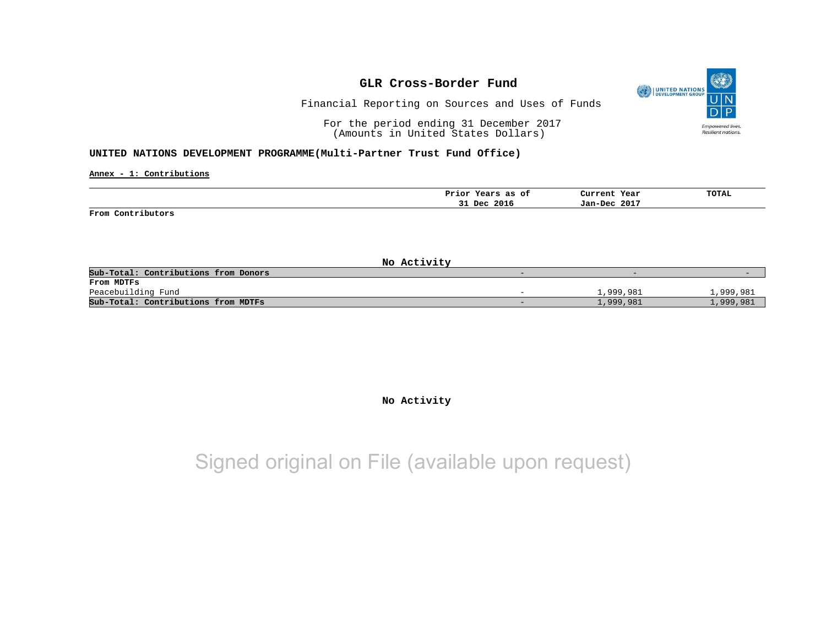

Financial Reporting on Sources and Uses of Funds

For the period ending 31 December 2017 (Amounts in United States Dollars)

#### **UNITED NATIONS DEVELOPMENT PROGRAMME(Multi-Partner Trust Fund Office)**

**Annex - 1: Contributions**

|                   | Prior Years as of | Current Year | <b>TOTAL</b> |
|-------------------|-------------------|--------------|--------------|
|                   | 31 Dec 2016       | Jan-Dec 2017 |              |
| From Contributors |                   |              |              |

**No Activity** Sub-Total: Contributions from Donors **From MDTFs** Peacebuilding Fund - 1,999,981 1,999,981 **Sub-Total: Contributions from MDTFs** - 1,999,981 1,999,981

### **No Activity**

## Signed original on File (available upon request)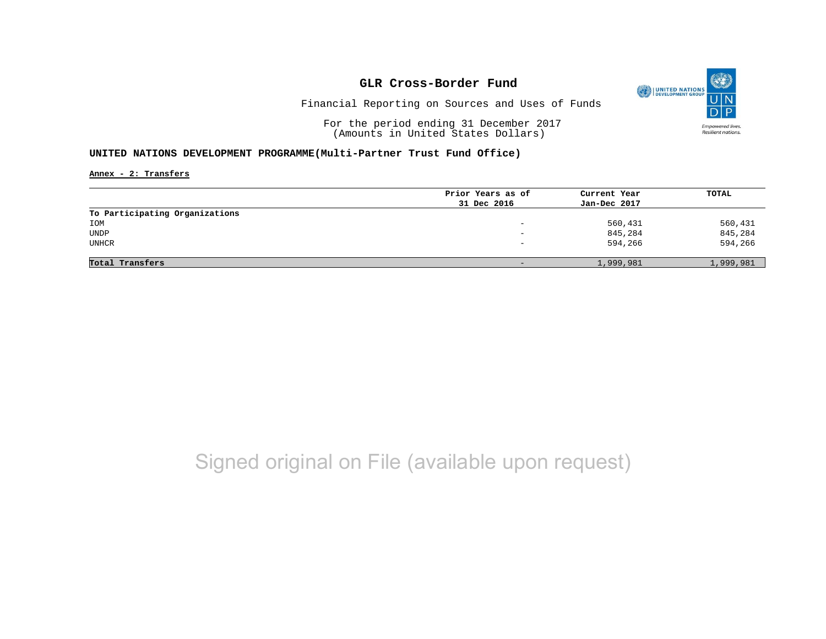

Financial Reporting on Sources and Uses of Funds

For the period ending 31 December 2017 (Amounts in United States Dollars)

### **UNITED NATIONS DEVELOPMENT PROGRAMME(Multi-Partner Trust Fund Office)**

**Annex - 2: Transfers**

|                                | Prior Years as of | Current Year | TOTAL     |
|--------------------------------|-------------------|--------------|-----------|
|                                | 31 Dec 2016       | Jan-Dec 2017 |           |
| To Participating Organizations |                   |              |           |
| IOM                            | -                 | 560,431      | 560,431   |
| UNDP                           | -                 | 845,284      | 845,284   |
| UNHCR                          | -                 | 594,266      | 594,266   |
| Total Transfers                | $\qquad \qquad -$ | 1,999,981    | 1,999,981 |
|                                |                   |              |           |

# Signed original on File (available upon request)